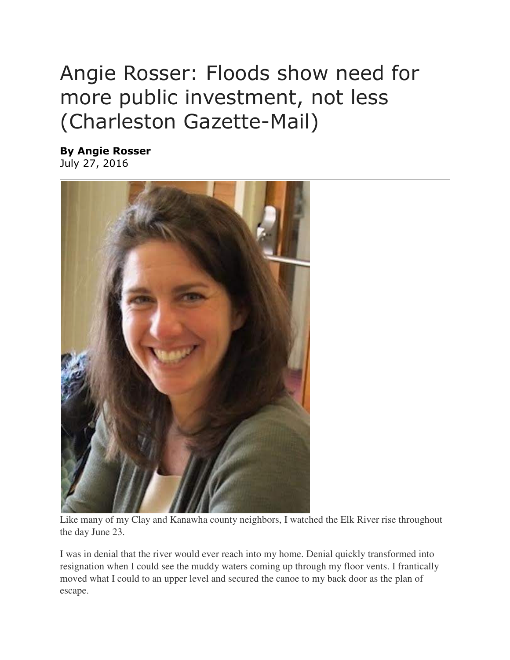## Angie Rosser: Floods show need for more public investment, not less (Charleston Gazette-Mail)

By Angie Rosser July 27, 2016



Like many of my Clay and Kanawha county neighbors, I watched the Elk River rise throughout the day June 23.

I was in denial that the river would ever reach into my home. Denial quickly transformed into resignation when I could see the muddy waters coming up through my floor vents. I frantically moved what I could to an upper level and secured the canoe to my back door as the plan of escape.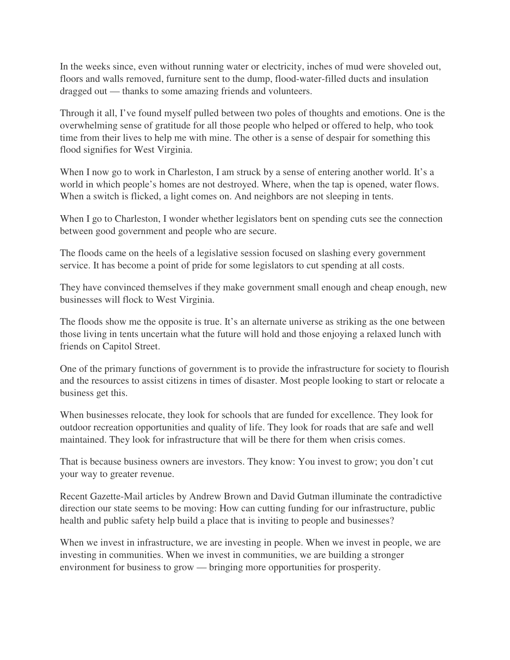In the weeks since, even without running water or electricity, inches of mud were shoveled out, floors and walls removed, furniture sent to the dump, flood-water-filled ducts and insulation dragged out — thanks to some amazing friends and volunteers.

Through it all, I've found myself pulled between two poles of thoughts and emotions. One is the overwhelming sense of gratitude for all those people who helped or offered to help, who took time from their lives to help me with mine. The other is a sense of despair for something this flood signifies for West Virginia.

When I now go to work in Charleston, I am struck by a sense of entering another world. It's a world in which people's homes are not destroyed. Where, when the tap is opened, water flows. When a switch is flicked, a light comes on. And neighbors are not sleeping in tents.

When I go to Charleston, I wonder whether legislators bent on spending cuts see the connection between good government and people who are secure.

The floods came on the heels of a legislative session focused on slashing every government service. It has become a point of pride for some legislators to cut spending at all costs.

They have convinced themselves if they make government small enough and cheap enough, new businesses will flock to West Virginia.

The floods show me the opposite is true. It's an alternate universe as striking as the one between those living in tents uncertain what the future will hold and those enjoying a relaxed lunch with friends on Capitol Street.

One of the primary functions of government is to provide the infrastructure for society to flourish and the resources to assist citizens in times of disaster. Most people looking to start or relocate a business get this.

When businesses relocate, they look for schools that are funded for excellence. They look for outdoor recreation opportunities and quality of life. They look for roads that are safe and well maintained. They look for infrastructure that will be there for them when crisis comes.

That is because business owners are investors. They know: You invest to grow; you don't cut your way to greater revenue.

Recent Gazette-Mail articles by Andrew Brown and David Gutman illuminate the contradictive direction our state seems to be moving: How can cutting funding for our infrastructure, public health and public safety help build a place that is inviting to people and businesses?

When we invest in infrastructure, we are investing in people. When we invest in people, we are investing in communities. When we invest in communities, we are building a stronger environment for business to grow — bringing more opportunities for prosperity.